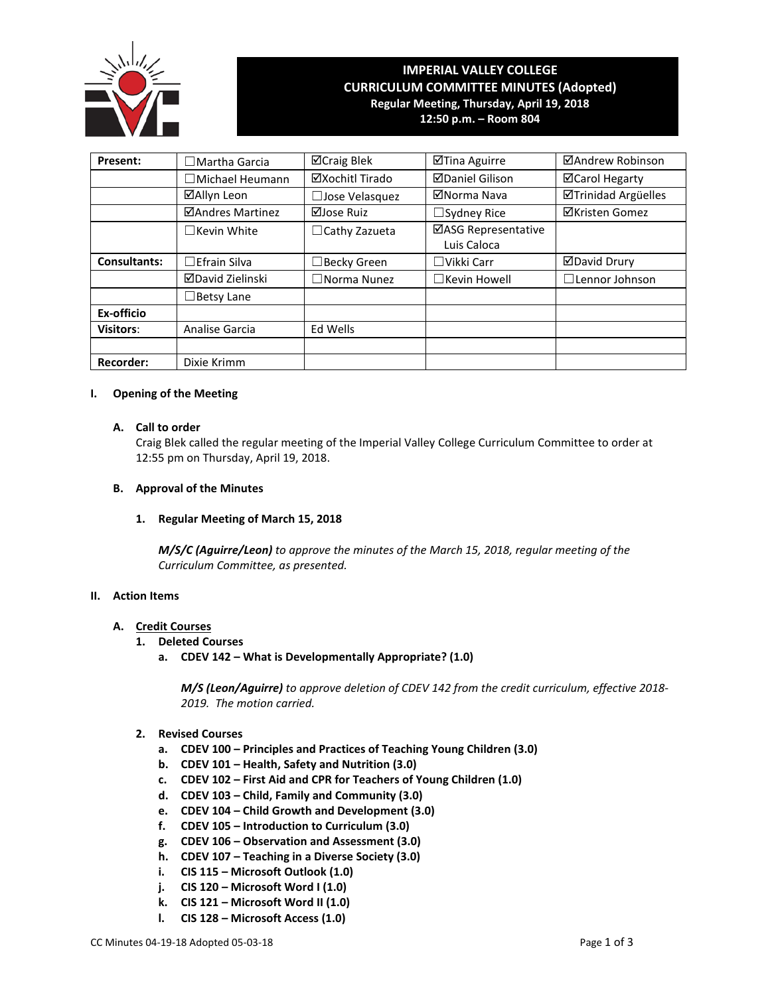

# **IMPERIAL VALLEY COLLEGE CURRICULUM COMMITTEE MINUTES (Adopted) Regular Meeting, Thursday, April 19, 2018**

**12:50 p.m. – Room 804**

| Present:            | $\square$ Martha Garcia | ⊠Craig Blek          | ⊠Tina Aguirre                      | ⊠Andrew Robinson           |
|---------------------|-------------------------|----------------------|------------------------------------|----------------------------|
|                     | $\Box$ Michael Heumann  | ⊠Xochitl Tirado      | <b>ØDaniel Gilison</b>             | ⊠Carol Hegarty             |
|                     | ⊠Allyn Leon             | □ Jose Velasquez     | ⊠Norma Nava                        | <b>ØTrinidad Argüelles</b> |
|                     | <b>ØAndres Martinez</b> | ⊠Jose Ruiz           | $\Box$ Sydney Rice                 | <b>⊠Kristen Gomez</b>      |
|                     | $\Box$ Kevin White      | $\Box$ Cathy Zazueta | ⊠ASG Representative<br>Luis Caloca |                            |
| <b>Consultants:</b> | $\Box$ Efrain Silva     | $\Box$ Becky Green   | $\Box$ Vikki Carr                  | <b>ØDavid Drury</b>        |
|                     | ⊠David Zielinski        | $\Box$ Norma Nunez   | $\Box$ Kevin Howell                | $\square$ Lennor Johnson   |
|                     | $\Box$ Betsy Lane       |                      |                                    |                            |
| Ex-officio          |                         |                      |                                    |                            |
| <b>Visitors:</b>    | Analise Garcia          | Ed Wells             |                                    |                            |
|                     |                         |                      |                                    |                            |
| <b>Recorder:</b>    | Dixie Krimm             |                      |                                    |                            |

# **I. Opening of the Meeting**

# **A. Call to order**

Craig Blek called the regular meeting of the Imperial Valley College Curriculum Committee to order at 12:55 pm on Thursday, April 19, 2018.

# **B. Approval of the Minutes**

# **1. Regular Meeting of March 15, 2018**

*M/S/C (Aguirre/Leon) to approve the minutes of the March 15, 2018, regular meeting of the Curriculum Committee, as presented.* 

# **II. Action Items**

#### **A. Credit Courses**

- **1. Deleted Courses**
	- **a. CDEV 142 – What is Developmentally Appropriate? (1.0)**

*M/S (Leon/Aguirre) to approve deletion of CDEV 142 from the credit curriculum, effective 2018- 2019. The motion carried.*

# **2. Revised Courses**

- **a. CDEV 100 – Principles and Practices of Teaching Young Children (3.0)**
- **b. CDEV 101 – Health, Safety and Nutrition (3.0)**
- **c. CDEV 102 – First Aid and CPR for Teachers of Young Children (1.0)**
- **d. CDEV 103 – Child, Family and Community (3.0)**
- **e. CDEV 104 – Child Growth and Development (3.0)**
- **f. CDEV 105 – Introduction to Curriculum (3.0)**
- **g. CDEV 106 – Observation and Assessment (3.0)**
- **h. CDEV 107 – Teaching in a Diverse Society (3.0)**
- **i. CIS 115 – Microsoft Outlook (1.0)**
- **j. CIS 120 – Microsoft Word I (1.0)**
- **k. CIS 121 – Microsoft Word II (1.0)**
- **l. CIS 128 – Microsoft Access (1.0)**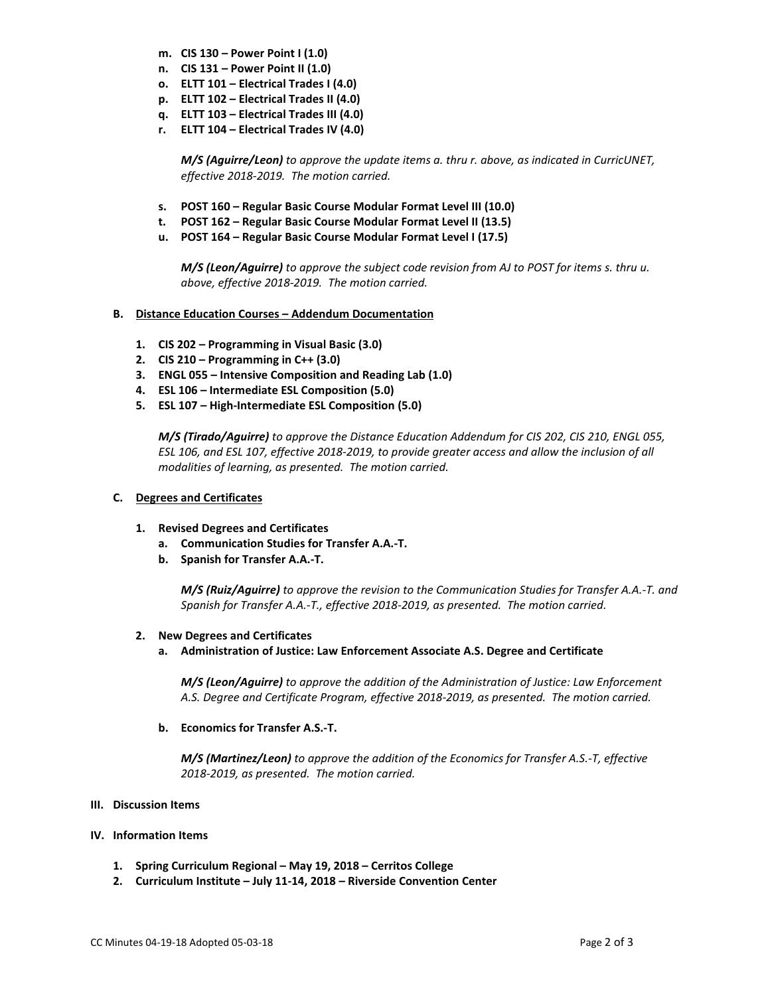- **m. CIS 130 – Power Point I (1.0)**
- **n. CIS 131 – Power Point II (1.0)**
- **o. ELTT 101 – Electrical Trades I (4.0)**
- **p. ELTT 102 – Electrical Trades II (4.0)**
- **q. ELTT 103 – Electrical Trades III (4.0)**
- **r. ELTT 104 – Electrical Trades IV (4.0)**

*M/S (Aguirre/Leon) to approve the update items a. thru r. above, as indicated in CurricUNET, effective 2018-2019. The motion carried.*

- **s. POST 160 – Regular Basic Course Modular Format Level III (10.0)**
- **t. POST 162 – Regular Basic Course Modular Format Level II (13.5)**
- **u. POST 164 – Regular Basic Course Modular Format Level I (17.5)**

*M/S (Leon/Aguirre) to approve the subject code revision from AJ to POST for items s. thru u. above, effective 2018-2019. The motion carried.*

# **B. Distance Education Courses – Addendum Documentation**

- **1. CIS 202 – Programming in Visual Basic (3.0)**
- **2. CIS 210 – Programming in C++ (3.0)**
- **3. ENGL 055 – Intensive Composition and Reading Lab (1.0)**
- **4. ESL 106 – Intermediate ESL Composition (5.0)**
- **5. ESL 107 – High-Intermediate ESL Composition (5.0)**

*M/S (Tirado/Aguirre) to approve the Distance Education Addendum for CIS 202, CIS 210, ENGL 055, ESL 106, and ESL 107, effective 2018-2019, to provide greater access and allow the inclusion of all modalities of learning, as presented. The motion carried.*

# **C. Degrees and Certificates**

- **1. Revised Degrees and Certificates**
	- **a. Communication Studies for Transfer A.A.-T.**
	- **b. Spanish for Transfer A.A.-T.**

*M/S (Ruiz/Aguirre) to approve the revision to the Communication Studies for Transfer A.A.-T. and Spanish for Transfer A.A.-T., effective 2018-2019, as presented. The motion carried.*

#### **2. New Degrees and Certificates**

**a. Administration of Justice: Law Enforcement Associate A.S. Degree and Certificate**

*M/S (Leon/Aguirre) to approve the addition of the Administration of Justice: Law Enforcement A.S. Degree and Certificate Program, effective 2018-2019, as presented. The motion carried.*

**b. Economics for Transfer A.S.-T.**

*M/S (Martinez/Leon) to approve the addition of the Economics for Transfer A.S.-T, effective 2018-2019, as presented. The motion carried.*

#### **III. Discussion Items**

#### **IV. Information Items**

- **1. Spring Curriculum Regional – May 19, 2018 – Cerritos College**
- **2. Curriculum Institute – July 11-14, 2018 – Riverside Convention Center**